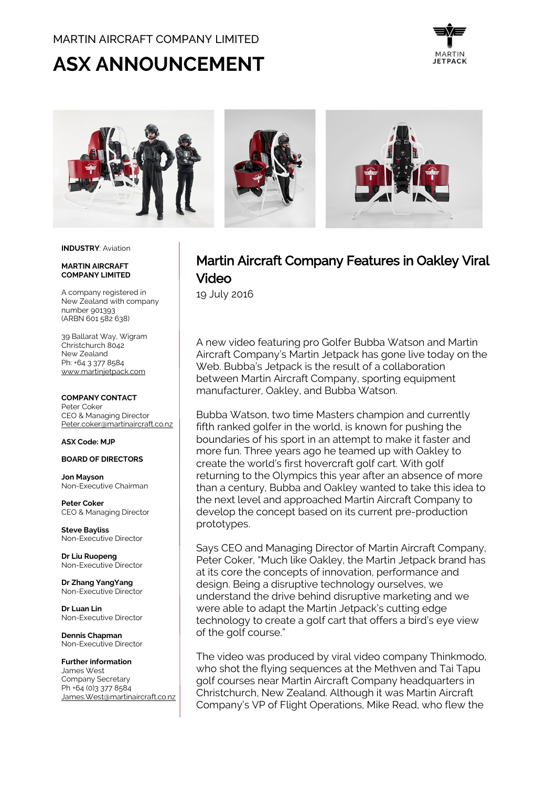# MARTIN AIRCRAFT COMPANY LIMITED

# **ASX ANNOUNCEMENT**





#### **INDUSTRY**: Aviation

#### **MARTIN AIRCRAFT COMPANY LIMITED**

A company registered in New Zealand with company number 901393 (ARBN 601 582 638)

39 Ballarat Way, Wigram Christchurch 8042 New Zealand Ph: +64 3 377 8584 [www.martinjetpack.com](http://www.martinjetpack.com/)

#### **COMPANY CONTACT**

Peter Coker CEO & Managing Director [Peter.coker@martinaircraft.co.nz](mailto:Peter.coker@martinaircraft.co.nz)

#### **ASX Code: MJP**

## **BOARD OF DIRECTORS**

**Jon Mayson**  Non-Executive Chairman

**Peter Coker**  CEO & Managing Director

**Steve Bayliss** Non-Executive Director

**Dr Liu Ruopeng**  Non-Executive Director

**Dr Zhang YangYang**  Non-Executive Director

**Dr Luan Lin** Non-Executive Director

**Dennis Chapman** Non-Executive Director

**Further information** James West Company Secretary Ph +64 (0)3 377 8584 [James.West@martinaircraft.co.nz](mailto:James.West@martinaircraft.co.nz)

# Martin Aircraft Company Features in Oakley Viral Video

19 July 2016

A new video featuring pro Golfer Bubba Watson and Martin Aircraft Company's Martin Jetpack has gone live today on the Web. Bubba's Jetpack is the result of a collaboration between Martin Aircraft Company, sporting equipment manufacturer, Oakley, and Bubba Watson.

Bubba Watson, two time Masters champion and currently fifth ranked golfer in the world, is known for pushing the boundaries of his sport in an attempt to make it faster and more fun. Three years ago he teamed up with Oakley to create the world's first hovercraft golf cart. With golf returning to the Olympics this year after an absence of more than a century, Bubba and Oakley wanted to take this idea to the next level and approached Martin Aircraft Company to develop the concept based on its current pre-production prototypes.

Says CEO and Managing Director of Martin Aircraft Company, Peter Coker, "Much like Oakley, the Martin Jetpack brand has at its core the concepts of innovation, performance and design. Being a disruptive technology ourselves, we understand the drive behind disruptive marketing and we were able to adapt the Martin Jetpack's cutting edge technology to create a golf cart that offers a bird's eye view of the golf course."

The video was produced by viral video company Thinkmodo, who shot the flying sequences at the Methven and Tai Tapu golf courses near Martin Aircraft Company headquarters in Christchurch, New Zealand. Although it was Martin Aircraft Company's VP of Flight Operations, Mike Read, who flew the